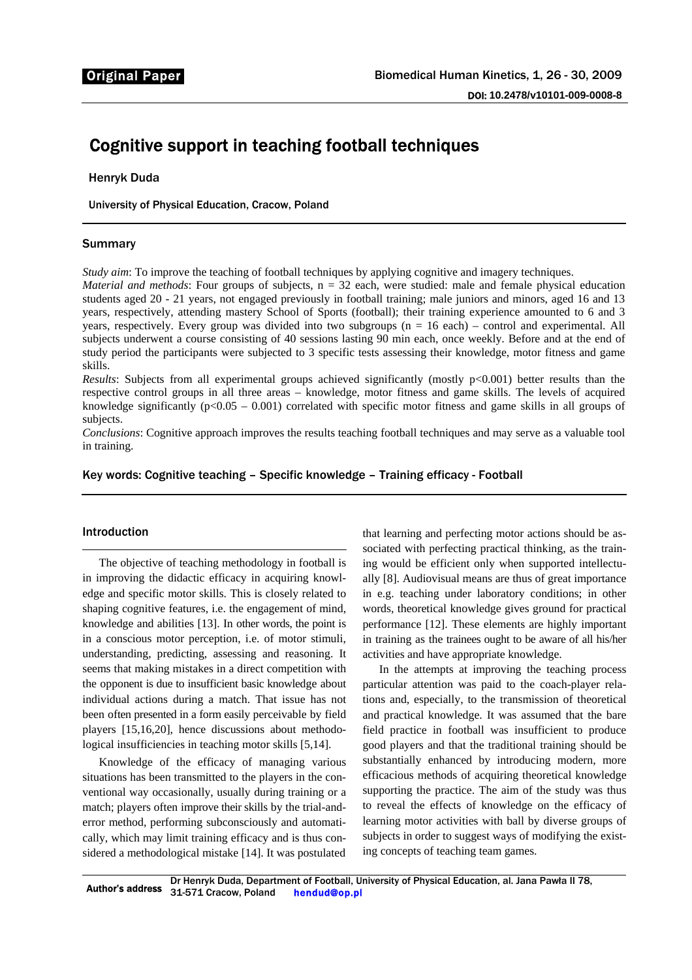# Cognitive support in teaching football techniques

Henryk Duda

University of Physical Education, Cracow, Poland

## Summary

*Study aim*: To improve the teaching of football techniques by applying cognitive and imagery techniques.

*Material and methods*: Four groups of subjects,  $n = 32$  each, were studied: male and female physical education students aged 20 - 21 years, not engaged previously in football training; male juniors and minors, aged 16 and 13 years, respectively, attending mastery School of Sports (football); their training experience amounted to 6 and 3 years, respectively. Every group was divided into two subgroups (n = 16 each) – control and experimental. All subjects underwent a course consisting of 40 sessions lasting 90 min each, once weekly. Before and at the end of study period the participants were subjected to 3 specific tests assessing their knowledge, motor fitness and game skills.

*Results*: Subjects from all experimental groups achieved significantly (mostly p<0.001) better results than the respective control groups in all three areas – knowledge, motor fitness and game skills. The levels of acquired knowledge significantly ( $p<0.05 - 0.001$ ) correlated with specific motor fitness and game skills in all groups of subjects.

*Conclusions*: Cognitive approach improves the results teaching football techniques and may serve as a valuable tool in training.

Key words: Cognitive teaching – Specific knowledge – Training efficacy - Football

## Introduction

The objective of teaching methodology in football is in improving the didactic efficacy in acquiring knowledge and specific motor skills. This is closely related to shaping cognitive features, i.e. the engagement of mind, knowledge and abilities [13]. In other words, the point is in a conscious motor perception, i.e. of motor stimuli, understanding, predicting, assessing and reasoning. It seems that making mistakes in a direct competition with the opponent is due to insufficient basic knowledge about individual actions during a match. That issue has not been often presented in a form easily perceivable by field players [15,16,20], hence discussions about methodological insufficiencies in teaching motor skills [5,14].

Knowledge of the efficacy of managing various situations has been transmitted to the players in the conventional way occasionally, usually during training or a match; players often improve their skills by the trial-anderror method, performing subconsciously and automatically, which may limit training efficacy and is thus considered a methodological mistake [14]. It was postulated

that learning and perfecting motor actions should be associated with perfecting practical thinking, as the training would be efficient only when supported intellectually [8]. Audiovisual means are thus of great importance in e.g. teaching under laboratory conditions; in other words, theoretical knowledge gives ground for practical performance [12]. These elements are highly important in training as the trainees ought to be aware of all his/her activities and have appropriate knowledge.

In the attempts at improving the teaching process particular attention was paid to the coach-player relations and, especially, to the transmission of theoretical and practical knowledge. It was assumed that the bare field practice in football was insufficient to produce good players and that the traditional training should be substantially enhanced by introducing modern, more efficacious methods of acquiring theoretical knowledge supporting the practice. The aim of the study was thus to reveal the effects of knowledge on the efficacy of learning motor activities with ball by diverse groups of subjects in order to suggest ways of modifying the existing concepts of teaching team games.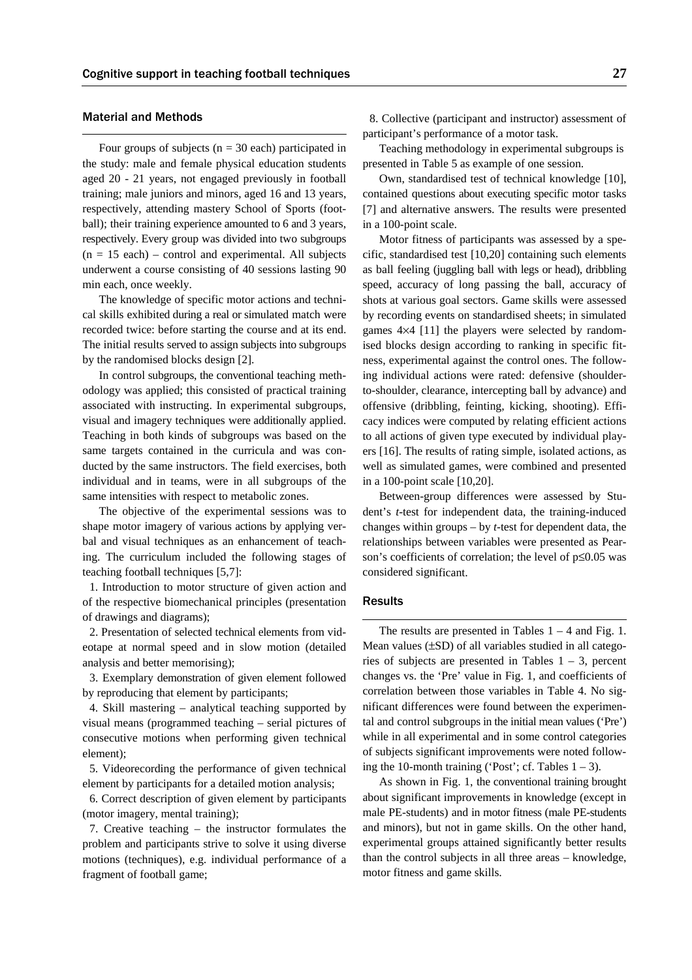#### Material and Methods

Four groups of subjects ( $n = 30$  each) participated in the study: male and female physical education students aged 20 - 21 years, not engaged previously in football training; male juniors and minors, aged 16 and 13 years, respectively, attending mastery School of Sports (football); their training experience amounted to 6 and 3 years, respectively. Every group was divided into two subgroups  $(n = 15$  each) – control and experimental. All subjects underwent a course consisting of 40 sessions lasting 90 min each, once weekly.

The knowledge of specific motor actions and technical skills exhibited during a real or simulated match were recorded twice: before starting the course and at its end. The initial results served to assign subjects into subgroups by the randomised blocks design [2].

In control subgroups, the conventional teaching methodology was applied; this consisted of practical training associated with instructing. In experimental subgroups, visual and imagery techniques were additionally applied. Teaching in both kinds of subgroups was based on the same targets contained in the curricula and was conducted by the same instructors. The field exercises, both individual and in teams, were in all subgroups of the same intensities with respect to metabolic zones.

The objective of the experimental sessions was to shape motor imagery of various actions by applying verbal and visual techniques as an enhancement of teaching. The curriculum included the following stages of teaching football techniques [5,7]:

1. Introduction to motor structure of given action and of the respective biomechanical principles (presentation of drawings and diagrams);

2. Presentation of selected technical elements from videotape at normal speed and in slow motion (detailed analysis and better memorising);

3. Exemplary demonstration of given element followed by reproducing that element by participants;

4. Skill mastering – analytical teaching supported by visual means (programmed teaching – serial pictures of consecutive motions when performing given technical element);

5. Videorecording the performance of given technical element by participants for a detailed motion analysis;

6. Correct description of given element by participants (motor imagery, mental training);

7. Creative teaching – the instructor formulates the problem and participants strive to solve it using diverse motions (techniques), e.g. individual performance of a fragment of football game;

8. Collective (participant and instructor) assessment of participant's performance of a motor task.

Teaching methodology in experimental subgroups is presented in Table 5 as example of one session.

Own, standardised test of technical knowledge [10], contained questions about executing specific motor tasks [7] and alternative answers. The results were presented in a 100-point scale.

Motor fitness of participants was assessed by a specific, standardised test [10,20] containing such elements as ball feeling (juggling ball with legs or head), dribbling speed, accuracy of long passing the ball, accuracy of shots at various goal sectors. Game skills were assessed by recording events on standardised sheets; in simulated games 4×4 [11] the players were selected by randomised blocks design according to ranking in specific fitness, experimental against the control ones. The following individual actions were rated: defensive (shoulderto-shoulder, clearance, intercepting ball by advance) and offensive (dribbling, feinting, kicking, shooting). Efficacy indices were computed by relating efficient actions to all actions of given type executed by individual players [16]. The results of rating simple, isolated actions, as well as simulated games, were combined and presented in a 100-point scale [10,20].

Between-group differences were assessed by Student's *t*-test for independent data, the training-induced changes within groups – by *t*-test for dependent data, the relationships between variables were presented as Pearson's coefficients of correlation; the level of p≤0.05 was considered significant.

#### **Results**

The results are presented in Tables  $1 - 4$  and Fig. 1. Mean values (±SD) of all variables studied in all categories of subjects are presented in Tables  $1 - 3$ , percent changes vs. the 'Pre' value in Fig. 1, and coefficients of correlation between those variables in Table 4. No significant differences were found between the experimental and control subgroups in the initial mean values ('Pre') while in all experimental and in some control categories of subjects significant improvements were noted following the 10-month training ('Post'; cf. Tables  $1 - 3$ ).

As shown in Fig. 1, the conventional training brought about significant improvements in knowledge (except in male PE-students) and in motor fitness (male PE-students and minors), but not in game skills. On the other hand, experimental groups attained significantly better results than the control subjects in all three areas – knowledge, motor fitness and game skills.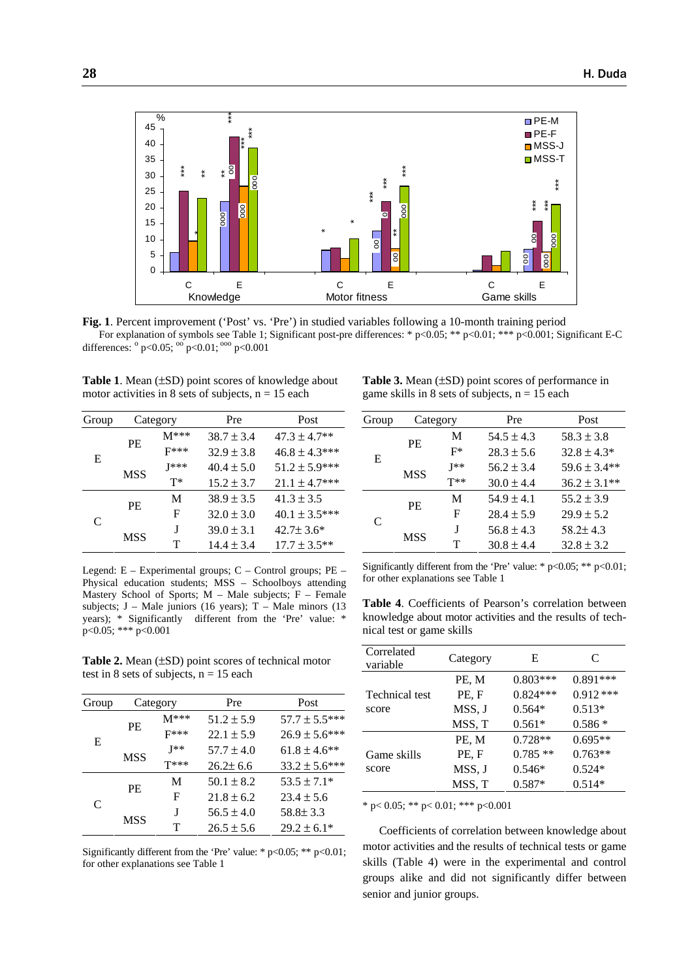

**Fig. 1**. Percent improvement ('Post' vs. 'Pre') in studied variables following a 10-month training period For explanation of symbols see Table 1; Significant post-pre differences: \* p<0.05; \*\* p<0.01; \*\*\* p<0.001; Significant E-C differences:  $^{\circ}$  p<0.05;  $^{\circ}$  p<0.01;  $^{\circ}$  p<0.001

**Table 1**. Mean (±SD) point scores of knowledge about motor activities in 8 sets of subjects,  $n = 15$  each

| Group | Category   |        | Pre            | Post               |
|-------|------------|--------|----------------|--------------------|
| E     | PF.        | $M***$ | $38.7 \pm 3.4$ | $47.3 \pm 4.7**$   |
|       |            | $F***$ | $32.9 \pm 3.8$ | $46.8 \pm 4.3$ *** |
|       | MSS        | 1***   | $40.4 \pm 5.0$ | $51.2 \pm 5.9***$  |
|       |            | т*     | $15.2 \pm 3.7$ | $21.1 \pm 4.7$ *** |
| C     | PF.        | M      | $38.9 \pm 3.5$ | $41.3 \pm 3.5$     |
|       |            | F      | $32.0 \pm 3.0$ | $40.1 \pm 3.5***$  |
|       | <b>MSS</b> | J      | $39.0 \pm 3.1$ | $42.7\pm3.6*$      |
|       |            | т      | $14.4 \pm 3.4$ | $17.7 \pm 3.5$ **  |

Legend: E – Experimental groups; C – Control groups; PE – Physical education students; MSS – Schoolboys attending Mastery School of Sports;  $M -$  Male subjects;  $F -$  Female subjects; J – Male juniors (16 years); T – Male minors (13 years); \* Significantly different from the 'Pre' value: \*  $p<0.05$ ; \*\*\*  $p<0.001$ 

**Table 2.** Mean (±SD) point scores of technical motor test in 8 sets of subjects,  $n = 15$  each

| Group |           | Category | Pre            | Post               |
|-------|-----------|----------|----------------|--------------------|
| E     | <b>PE</b> | $M***$   | $51.2 \pm 5.9$ | $57.7 \pm 5.5***$  |
|       |           | $F***$   | $22.1 \pm 5.9$ | $26.9 \pm 5.6$ *** |
|       | MSS       | $I**$    | $57.7 \pm 4.0$ | $61.8 \pm 4.6$ **  |
|       |           | $T***$   | $26.2 \pm 6.6$ | $33.2 \pm 5.6$ *** |
| C     | PF.       | М        | $50.1 \pm 8.2$ | $53.5 \pm 7.1*$    |
|       |           | F        | $21.8 \pm 6.2$ | $23.4 \pm 5.6$     |
|       | MSS       | J        | $56.5 \pm 4.0$ | $58.8 \pm 3.3$     |
|       |           | т        | $26.5 \pm 5.6$ | $29.2 \pm 6.1*$    |

Significantly different from the 'Pre' value: \*  $p<0.05$ ; \*\*  $p<0.01$ ; for other explanations see Table 1

| <b>Table 3.</b> Mean $(\pm SD)$ point scores of performance in |
|----------------------------------------------------------------|
| game skills in 8 sets of subjects, $n = 15$ each               |

| Group | Category |          | Pre            | Post             |
|-------|----------|----------|----------------|------------------|
| E     | PE       | M        | $54.5 \pm 4.3$ | $58.3 \pm 3.8$   |
|       |          | F*       | $28.3 \pm 5.6$ | $32.8 \pm 4.3*$  |
|       | MSS      | $I**$    | $56.2 \pm 3.4$ | $59.6 \pm 3.4**$ |
|       |          | $T^{**}$ | $30.0 \pm 4.4$ | $36.2 \pm 3.1**$ |
| C     | PE.      | M        | $54.9 \pm 4.1$ | $55.2 \pm 3.9$   |
|       |          | F        | $28.4 \pm 5.9$ | $29.9 \pm 5.2$   |
|       | MSS      | J        | $56.8 \pm 4.3$ | $58.2 \pm 4.3$   |
|       |          | т        | $30.8 \pm 4.4$ | $32.8 \pm 3.2$   |

Significantly different from the 'Pre' value: \* p<0.05; \*\* p<0.01; for other explanations see Table 1

**Table 4**. Coefficients of Pearson's correlation between knowledge about motor activities and the results of technical test or game skills

| Correlated<br>variable | Category | Е          | C          |
|------------------------|----------|------------|------------|
|                        | PE, M    | $0.803***$ | $0.891***$ |
| <b>Technical test</b>  | PE, F    | $0.824***$ | $0.912***$ |
| score                  | MSS, J   | $0.564*$   | $0.513*$   |
|                        | MSS, T   | $0.561*$   | $0.586*$   |
|                        | PE, M    | $0.728**$  | $0.695**$  |
| Game skills            | PE, F    | $0.785**$  | $0.763**$  |
| score                  | MSS, J   | $0.546*$   | $0.524*$   |
|                        | MSS, T   | $0.587*$   | $0.514*$   |

\* p< 0.05; \*\* p< 0.01; \*\*\* p< 0.001

Coefficients of correlation between knowledge about motor activities and the results of technical tests or game skills (Table 4) were in the experimental and control groups alike and did not significantly differ between senior and junior groups.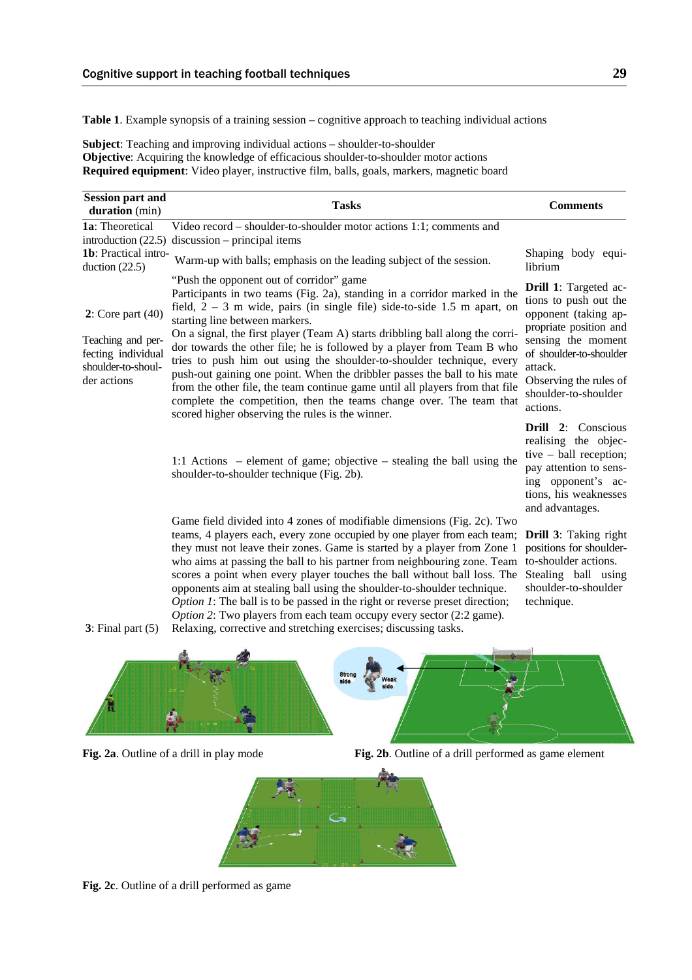**Table 1**. Example synopsis of a training session – cognitive approach to teaching individual actions

**Subject**: Teaching and improving individual actions – shoulder-to-shoulder **Objective**: Acquiring the knowledge of efficacious shoulder-to-shoulder motor actions **Required equipment**: Video player, instructive film, balls, goals, markers, magnetic board

| <b>Session part and</b><br>duration (min)                                                             | <b>Tasks</b>                                                                                                                                                                                                                                                                                                                                                                                                                                                                                                                                                                                                                                                                                                                                                      | <b>Comments</b>                                                                                                                                                                                                                   |
|-------------------------------------------------------------------------------------------------------|-------------------------------------------------------------------------------------------------------------------------------------------------------------------------------------------------------------------------------------------------------------------------------------------------------------------------------------------------------------------------------------------------------------------------------------------------------------------------------------------------------------------------------------------------------------------------------------------------------------------------------------------------------------------------------------------------------------------------------------------------------------------|-----------------------------------------------------------------------------------------------------------------------------------------------------------------------------------------------------------------------------------|
| 1a: Theoretical<br>introduction $(22.5)$                                                              | Video record – shoulder-to-shoulder motor actions 1:1; comments and<br>$discussion$ – principal items                                                                                                                                                                                                                                                                                                                                                                                                                                                                                                                                                                                                                                                             |                                                                                                                                                                                                                                   |
| 1b: Practical intro-<br>duction $(22.5)$                                                              | Warm-up with balls; emphasis on the leading subject of the session.                                                                                                                                                                                                                                                                                                                                                                                                                                                                                                                                                                                                                                                                                               | Shaping body equi-<br>librium                                                                                                                                                                                                     |
| $2:$ Core part $(40)$<br>Teaching and per-<br>fecting individual<br>shoulder-to-shoul-<br>der actions | "Push the opponent out of corridor" game<br>Participants in two teams (Fig. 2a), standing in a corridor marked in the<br>field, $2 - 3$ m wide, pairs (in single file) side-to-side 1.5 m apart, on<br>starting line between markers.<br>On a signal, the first player (Team A) starts dribbling ball along the corri-<br>dor towards the other file; he is followed by a player from Team B who<br>tries to push him out using the shoulder-to-shoulder technique, every<br>push-out gaining one point. When the dribbler passes the ball to his mate<br>from the other file, the team continue game until all players from that file<br>complete the competition, then the teams change over. The team that<br>scored higher observing the rules is the winner. | <b>Drill 1:</b> Targeted ac-<br>tions to push out the<br>opponent (taking ap-<br>propriate position and<br>sensing the moment<br>of shoulder-to-shoulder<br>attack.<br>Observing the rules of<br>shoulder-to-shoulder<br>actions. |
|                                                                                                       | 1:1 Actions – element of game; objective – stealing the ball using the<br>shoulder-to-shoulder technique (Fig. 2b).                                                                                                                                                                                                                                                                                                                                                                                                                                                                                                                                                                                                                                               | Drill $2:$<br>Conscious<br>realising the objec-<br>tive $-$ ball reception;<br>pay attention to sens-<br>ing opponent's ac-<br>tions, his weaknesses<br>and advantages.                                                           |
|                                                                                                       | Game field divided into 4 zones of modifiable dimensions (Fig. 2c). Two<br>teams, 4 players each, every zone occupied by one player from each team;<br>they must not leave their zones. Game is started by a player from Zone 1<br>who aims at passing the ball to his partner from neighbouring zone. Team<br>scores a point when every player touches the ball without ball loss. The<br>opponents aim at stealing ball using the shoulder-to-shoulder technique.                                                                                                                                                                                                                                                                                               | <b>Drill 3:</b> Taking right<br>positions for shoulder-<br>to-shoulder actions.<br>Stealing ball using<br>shoulder-to-shoulder                                                                                                    |

 **3**: Final part (5) Relaxing, corrective and stretching exercises; discussing tasks.



*Option 1*: The ball is to be passed in the right or reverse preset direction; *Option 2*: Two players from each team occupy every sector (2:2 game).



technique.



**Fig. 2c**. Outline of a drill performed as game